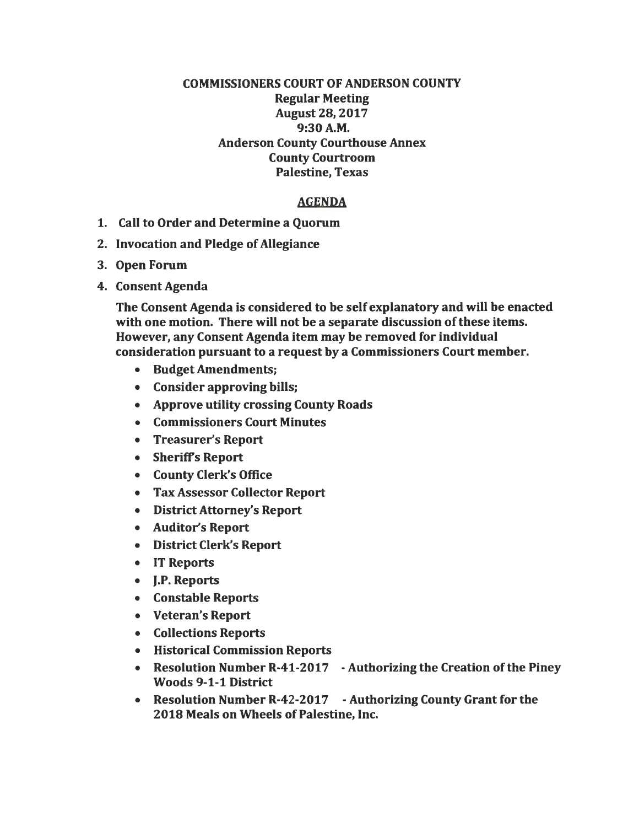## COMMISSIONERS COURT OF ANDERSON COUNTY Regular Meeting August 28, 2017 9:30A.M. Anderson County Courthouse Annex County Courtroom Palestine, Texas

## AGENDA

- 1. Call to Order and Determine a Quorum
- 2. Invocation and Pledge of Allegiance
- 3. Open Forum
- 4. Consent Agenda

The Consent Agenda is considered to be self explanatory and will be enacted with one motion. There will not be a separate discussion of these items. However, any Consent Agenda item may be removed for individual consideration pursuant to a request by a Commissioners Court member.

- Budget Amendments;
- Consider approving bills;
- Approve utility crossing County Roads
- Commissioners Court Minutes
- Treasurer's Report
- Sheriffs Report
- County Clerk's Office
- Tax Assessor Collector Report
- District Attorney's Report
- Auditor's Report
- District Clerk's Report
- IT Reports
- J.P. Reports
- Constable Reports
- Veteran's Report
- Collections Reports
- Historical Commission Reports
- Resolution Number R-41-2017 Authorizing the Creation of the Piney Woods 9-1-1 District
- Resolution Number R-42-2017 Authorizing County Grant for the 2018 Meals on Wheels of Palestine, Inc.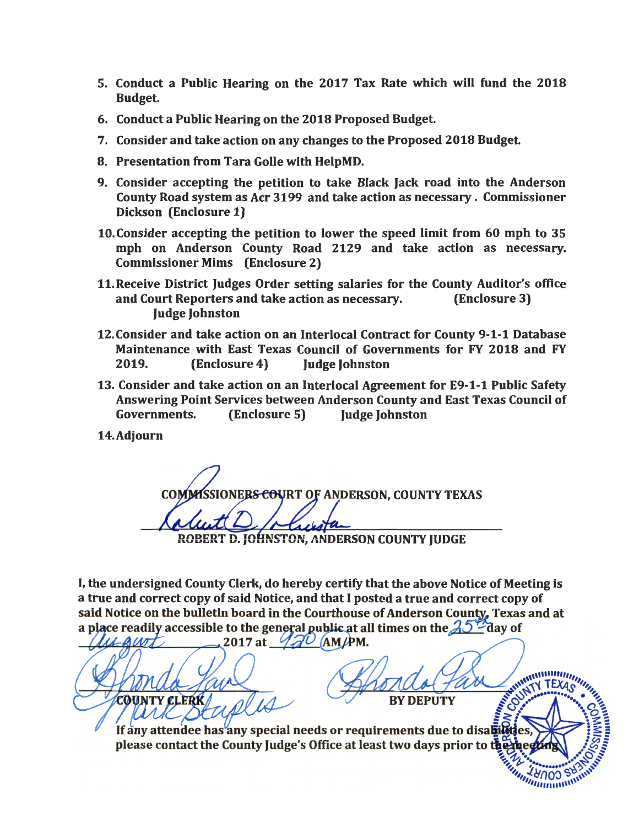- 5. Conduct a Public Hearing on the 2017 Tax Rate which will fund the 2018 Budget.
- 6. Conduct a Public Hearing on the 2018 Proposed Budget.
- 7. Consider and take action on any changes to the Proposed 2018 Budget.
- 8. Presentation from Tara Golle with HelpMD.
- 9. Consider accepting the petition to take Black Jack road into the Anderson County Road system as Acr 3199 and take action as necessary . Commissioner Dickson (Enclosure 1)
- 10.Consider accepting the petition to lower the speed limit from 60 mph to 35 mph on Anderson County Road 2129 and take action as necessary. Commissioner Mims (Enclosure 2)
- 11.Receive District Judges Order setting salaries for the County Auditor's office and Court Reporters and take action as necessary. (Enclosure 3) Judge Johnston
- 12. Consider and take action on an Interlocal Contract for County 9-1-1 Database Maintenance with East Texas Council of Governments for FY 2018 and FY 2019. (Enclosure 4) Judge Johnston
- 13. Consider and take action on an Interlocal Agreement for E9-1-1 Public Safety Answering Point Services between Anderson County and East Texas Council of Governments. (Enclosure 5) Judge Johnston
- 14.Adjourn

COMMISSIONER<del>S CO</del>URT OF ANDERSON, COUNTY TEXAS ROBERT D. JOHNSTON, ANDERSON COUNTY JUDGE

I, the undersigned County Clerk, do hereby certify that the above Notice of Meeting is a true and correct copy of said Notice, and that I posted a true and correct copy of said Notice on the bulletin board in the Courthouse of Anderson County, Texas and at a place readily accessible to the general public at all times on the  $\lambda$ <sup>5</sup> day of

2017 at  $\sqrt{2}U$  (AM/PM. AWT ATTENDAD Himmun **BY DEPUTY** COUNTY CLERK If any attendee has any special needs or requirements due to disabilitie please contact the County Judge's Office at least two days prior to the **EATHER AND SHOWS**